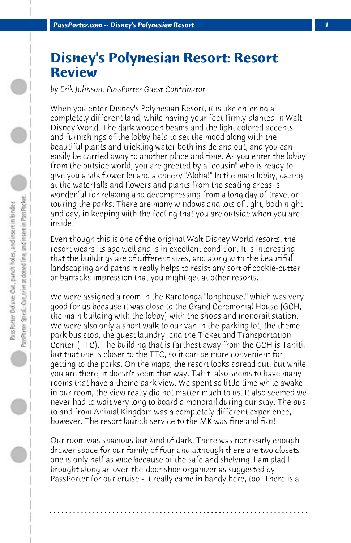## **Disney's Polynesian Resort: Resort Review**

*by Erik Johnson, PassPorter Guest Contributor*

When you enter Disney's Polynesian Resort, it is like entering a completely different land, while having your feet firmly planted in Walt Disney World. The dark wooden beams and the light colored accents and furnishings of the lobby help to set the mood along with the beautiful plants and trickling water both inside and out, and you can easily be carried away to another place and time. As you enter the lobby from the outside world, you are greeted by a "cousin" who is ready to give you a silk flower lei and a cheery "Aloha!" In the main lobby, gazing at the waterfalls and flowers and plants from the seating areas is wonderful for relaxing and decompressing from a long day of travel or touring the parks. There are many windows and lots of light, both night and day, in keeping with the feeling that you are outside when you are inside!

Even though this is one of the original Walt Disney World resorts, the resort wears its age well and is in excellent condition. It is interesting that the buildings are of different sizes, and along with the beautiful landscaping and paths it really helps to resist any sort of cookie-cutter or barracks impression that you might get at other resorts.

We were assigned a room in the Rarotonga "longhouse," which was very good for us because it was close to the Grand Ceremonial House (GCH, the main building with the lobby) with the shops and monorail station. We were also only a short walk to our van in the parking lot, the theme park bus stop, the guest laundry, and the Ticket and Transportation Center (TTC). The building that is farthest away from the GCH is Tahiti, but that one is closer to the TTC, so it can be more convenient for getting to the parks. On the maps, the resort looks spread out, but while you are there, it doesn't seem that way. Tahiti also seems to have many rooms that have a theme park view. We spent so little time while awake in our room; the view really did not matter much to us. It also seemed we never had to wait very long to board a monorail during our stay. The bus to and from Animal Kingdom was a completely different experience, however. The resort launch service to the MK was fine and fun!

Our room was spacious but kind of dark. There was not nearly enough drawer space for our family of four and although there are two closets one is only half as wide because of the safe and shelving. I am glad I brought along an over-the-door shoe organizer as suggested by PassPorter for our cruise - it really came in handy here, too. There is a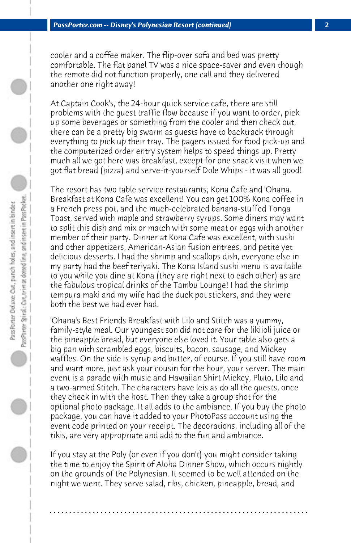cooler and a coffee maker. The flip-over sofa and bed was pretty comfortable. The flat panel TV was a nice space-saver and even though the remote did not function properly, one call and they delivered another one right away!

At Captain Cook's, the 24-hour quick service cafe, there are still problems with the guest traffic flow because if you want to order, pick up some beverages or something from the cooler and then check out, there can be a pretty big swarm as guests have to backtrack through everything to pick up their tray. The pagers issued for food pick-up and the computerized order entry system helps to speed things up. Pretty much all we got here was breakfast, except for one snack visit when we got flat bread (pizza) and serve-it-yourself Dole Whips - it was all good!

The resort has two table service restaurants; Kona Cafe and 'Ohana. Breakfast at Kona Cafe was excellent! You can get 100% Kona coffee in a French press pot, and the much-celebrated banana-stuffed Tonga Toast, served with maple and strawberry syrups. Some diners may want to split this dish and mix or match with some meat or eggs with another member of their party. Dinner at Kona Cafe was excellent, with sushi and other appetizers, American-Asian fusion entrees, and petite yet delicious desserts. I had the shrimp and scallops dish, everyone else in my party had the beef teriyaki. The Kona Island sushi menu is available to you while you dine at Kona (they are right next to each other) as are the fabulous tropical drinks of the Tambu Lounge! I had the shrimp tempura maki and my wife had the duck pot stickers, and they were both the best we had ever had.

'Ohana's Best Friends Breakfast with Lilo and Stitch was a yummy, family-style meal. Our youngest son did not care for the likiioli juice or the pineapple bread, but everyone else loved it. Your table also gets a big pan with scrambled eggs, biscuits, bacon, sausage, and Mickey waffles. On the side is syrup and butter, of course. If you still have room and want more, just ask your cousin for the hour, your server. The main event is a parade with music and Hawaiian Shirt Mickey, Pluto, Lilo and a two-armed Stitch. The characters have leis as do all the guests, once they check in with the host. Then they take a group shot for the optional photo package. It all adds to the ambiance. If you buy the photo package, you can have it added to your PhotoPass account using the event code printed on your receipt. The decorations, including all of the tikis, are very appropriate and add to the fun and ambiance.

If you stay at the Poly (or even if you don't) you might consider taking the time to enjoy the Spirit of Aloha Dinner Show, which occurs nightly on the grounds of the Polynesian. It seemed to be well attended on the night we went. They serve salad, ribs, chicken, pineapple, bread, and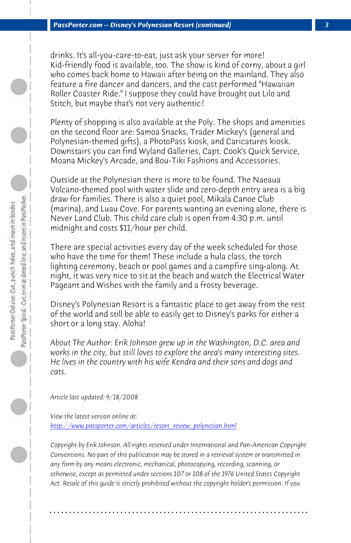*PassPorter.com -- Disney's Polynesian Resort (continued) 3*

drinks. It's all-you-care-to-eat, just ask your server for more! Kid-friendly food is available, too. The show is kind of corny, about a girl who comes back home to Hawaii after being on the mainland. They also feature a fire dancer and dancers, and the cast performed "Hawaiian Roller Coaster Ride." I suppose they could have brought out Lilo and Stitch, but maybe that's not very authentic?

Plenty of shopping is also available at the Poly. The shops and amenities on the second floor are: Samoa Snacks, Trader Mickey's (general and Polynesian-themed gifts), a PhotoPass kiosk, and Caricatures kiosk. Downstairs you can find Wyland Galleries, Capt. Cook's Quick Service, Moana Mickey's Arcade, and Bou-Tiki Fashions and Accessories.

Outside at the Polynesian there is more to be found. The Naeaua Volcano-themed pool with water slide and zero-depth entry area is a big draw for families. There is also a quiet pool, Mikala Canoe Club (marina), and Luau Cove. For parents wanting an evening alone, there is Never Land Club. This child care club is open from 4:30 p.m. until midnight and costs \$11/hour per child.

There are special activities every day of the week scheduled for those who have the time for them! These include a hula class, the torch [lighting ceremony, beach or pool games and a campf](http://www.passporter.com/articles/resort_review_polynesian.php)ire sing-along. At night, it was very nice to sit at the beach and watch the Electrical Water Pageant and Wishes with the family and a frosty beverage.

Disney's Polynesian Resort is a fantastic place to get away from the rest of the world and still be able to easily get to Disney's parks for either a short or a long stay. Aloha!

*About The Author: Erik Johnson grew up in the Washington, D.C. area and works in the city, but still loves to explore the area's many interesting sites. He lives in the country with his wife Kendra and their sons and dogs and cats.*

*Article last updated: 9/18/2008*

*View the latest version online at: http://www.passporter.com/articles/resort\_review\_polynesian.html*

*Copyright by Erik Johnson. All rights reserved under International and Pan-American Copyright Conventions. No part of this publication may be stored in a retrieval system or transmitted in any form by any means electronic, mechanical, photocopying, recording, scanning, or otherwise, except as permitted under sections 107 or 108 of the 1976 United States Copyright Act. Resale of this guide is strictly prohibited without the copyright holder's permission. If you*